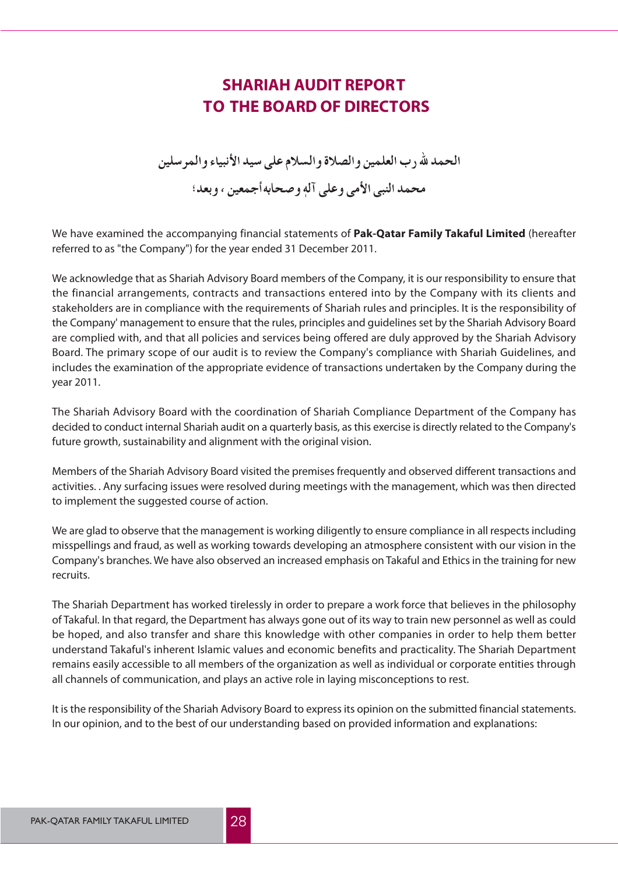## **SHARIAH AUDIT REPORT TO THE BOARD OF DIRECTORS**

الحمد لله رب العلمين والصلاة والسلام على سيد الأنبياء والمر سلين محمد النبي الأمي وعلى آله و صحابه أجمعين ، و بعد؛

We have examined the accompanying financial statements of **Pak-Qatar Family Takaful Limited** (hereafter referred to as "the Company") for the year ended 31 December 2011.

We acknowledge that as Shariah Advisory Board members of the Company, it is our responsibility to ensure that the financial arrangements, contracts and transactions entered into by the Company with its clients and stakeholders are in compliance with the requirements of Shariah rules and principles. It is the responsibility of the Company' management to ensure that the rules, principles and guidelines set by the Shariah Advisory Board are complied with, and that all policies and services being offered are duly approved by the Shariah Advisory Board. The primary scope of our audit is to review the Company's compliance with Shariah Guidelines, and includes the examination of the appropriate evidence of transactions undertaken by the Company during the vear 2011.

The Shariah Advisory Board with the coordination of Shariah Compliance Department of the Company has decided to conduct internal Shariah audit on a quarterly basis, as this exercise is directly related to the Company's future growth, sustainability and alignment with the original vision.

Members of the Shariah Advisory Board visited the premises frequently and observed different transactions and activities. . Any surfacing issues were resolved during meetings with the management, which was then directed to implement the suggested course of action.

We are glad to observe that the management is working diligently to ensure compliance in all respects including misspellings and fraud, as well as working towards developing an atmosphere consistent with our vision in the Company's branches. We have also observed an increased emphasis on Takaful and Ethics in the training for new recruits.

The Shariah Department has worked tirelessly in order to prepare a work force that believes in the philosophy of Takaful. In that regard, the Department has always gone out of its way to train new personnel as well as could be hoped, and also transfer and share this knowledge with other companies in order to help them better understand Takaful's inherent Islamic values and economic benefits and practicality. The Shariah Department remains easily accessible to all members of the organization as well as individual or corporate entities through all channels of communication, and plays an active role in laying misconceptions to rest.

It is the responsibility of the Shariah Advisory Board to express its opinion on the submitted financial statements. In our opinion, and to the best of our understanding based on provided information and explanations: